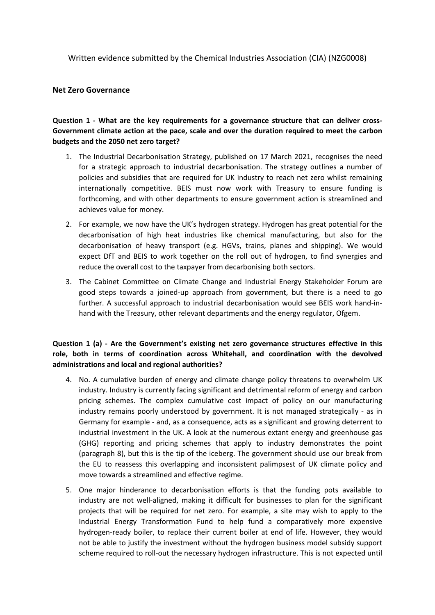Written evidence submitted by the Chemical Industries Association (CIA) (NZG0008)

#### **Net Zero Governance**

# **Question 1 - What are the key requirements for a governance structure that can deliver cross-Government climate action at the pace, scale and over the duration required to meet the carbon budgets and the 2050 net zero target?**

- 1. The Industrial Decarbonisation Strategy, published on 17 March 2021, recognises the need for a strategic approach to industrial decarbonisation. The strategy outlines a number of policies and subsidies that are required for UK industry to reach net zero whilst remaining internationally competitive. BEIS must now work with Treasury to ensure funding is forthcoming, and with other departments to ensure government action is streamlined and achieves value for money.
- 2. For example, we now have the UK's hydrogen strategy. Hydrogen has great potential for the decarbonisation of high heat industries like chemical manufacturing, but also for the decarbonisation of heavy transport (e.g. HGVs, trains, planes and shipping). We would expect DfT and BEIS to work together on the roll out of hydrogen, to find synergies and reduce the overall cost to the taxpayer from decarbonising both sectors.
- 3. The Cabinet Committee on Climate Change and Industrial Energy Stakeholder Forum are good steps towards a joined-up approach from government, but there is a need to go further. A successful approach to industrial decarbonisation would see BEIS work hand-inhand with the Treasury, other relevant departments and the energy regulator, Ofgem.

#### **Question 1 (a) - Are the Government's existing net zero governance structures effective in this role, both in terms of coordination across Whitehall, and coordination with the devolved administrations and local and regional authorities?**

- 4. No. A cumulative burden of energy and climate change policy threatens to overwhelm UK industry. Industry is currently facing significant and detrimental reform of energy and carbon pricing schemes. The complex cumulative cost impact of policy on our manufacturing industry remains poorly understood by government. It is not managed strategically - as in Germany for example - and, as a consequence, acts as a significant and growing deterrent to industrial investment in the UK. A look at the numerous extant energy and greenhouse gas (GHG) reporting and pricing schemes that apply to industry demonstrates the point (paragraph 8), but this is the tip of the iceberg. The government should use our break from the EU to reassess this overlapping and inconsistent palimpsest of UK climate policy and move towards a streamlined and effective regime.
- 5. One major hinderance to decarbonisation efforts is that the funding pots available to industry are not well-aligned, making it difficult for businesses to plan for the significant projects that will be required for net zero. For example, a site may wish to apply to the Industrial Energy Transformation Fund to help fund a comparatively more expensive hydrogen-ready boiler, to replace their current boiler at end of life. However, they would not be able to justify the investment without the hydrogen business model subsidy support scheme required to roll-out the necessary hydrogen infrastructure. This is not expected until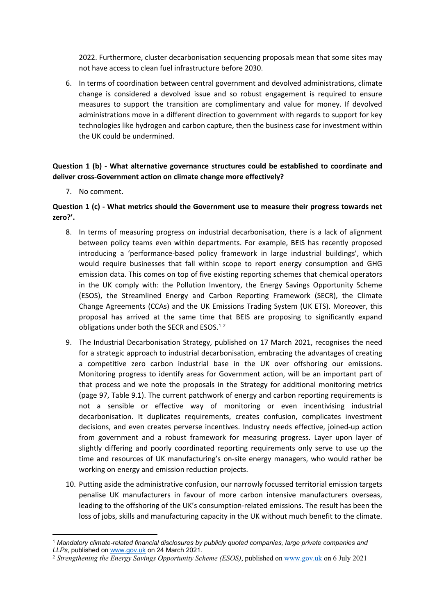2022. Furthermore, cluster decarbonisation sequencing proposals mean that some sites may not have access to clean fuel infrastructure before 2030.

6. In terms of coordination between central government and devolved administrations, climate change is considered a devolved issue and so robust engagement is required to ensure measures to support the transition are complimentary and value for money. If devolved administrations move in a different direction to government with regards to support for key technologies like hydrogen and carbon capture, then the business case for investment within the UK could be undermined.

#### **Question 1 (b) - What alternative governance structures could be established to coordinate and deliver cross-Government action on climate change more effectively?**

7. No comment.

#### **Question 1 (c) - What metrics should the Government use to measure their progress towards net zero?'.**

- 8. In terms of measuring progress on industrial decarbonisation, there is a lack of alignment between policy teams even within departments. For example, BEIS has recently proposed introducing a 'performance-based policy framework in large industrial buildings', which would require businesses that fall within scope to report energy consumption and GHG emission data. This comes on top of five existing reporting schemes that chemical operators in the UK comply with: the Pollution Inventory, the Energy Savings Opportunity Scheme (ESOS), the Streamlined Energy and Carbon Reporting Framework (SECR), the Climate Change Agreements (CCAs) and the UK Emissions Trading System (UK ETS). Moreover, this proposal has arrived at the same time that BEIS are proposing to significantly expand obligations under both the SECR and ESOS.<sup>12</sup>
- 9. The Industrial Decarbonisation Strategy, published on 17 March 2021, recognises the need for a strategic approach to industrial decarbonisation, embracing the advantages of creating a competitive zero carbon industrial base in the UK over offshoring our emissions. Monitoring progress to identify areas for Government action, will be an important part of that process and we note the proposals in the Strategy for additional monitoring metrics (page 97, Table 9.1). The current patchwork of energy and carbon reporting requirements is not a sensible or effective way of monitoring or even incentivising industrial decarbonisation. It duplicates requirements, creates confusion, complicates investment decisions, and even creates perverse incentives. Industry needs effective, joined-up action from government and a robust framework for measuring progress. Layer upon layer of slightly differing and poorly coordinated reporting requirements only serve to use up the time and resources of UK manufacturing's on-site energy managers, who would rather be working on energy and emission reduction projects.
- 10. Putting aside the administrative confusion, our narrowly focussed territorial emission targets penalise UK manufacturers in favour of more carbon intensive manufacturers overseas, leading to the offshoring of the UK's consumption-related emissions. The result has been the loss of jobs, skills and manufacturing capacity in the UK without much benefit to the climate.

<sup>1</sup> *Mandatory climate-related financial disclosures by publicly quoted companies, large private companies and LLPs*, published on [www.gov.uk](http://www.gov.uk/) on 24 March 2021.

<sup>2</sup> *Strengthening the Energy Savings Opportunity Scheme (ESOS)*, published on [www.gov.uk](http://www.gov.uk/) on 6 July 2021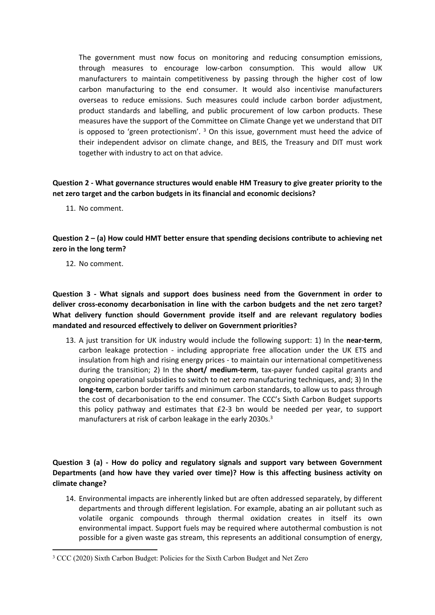<span id="page-2-0"></span>The government must now focus on monitoring and reducing consumption emissions, through measures to encourage low-carbon consumption. This would allow UK manufacturers to maintain competitiveness by passing through the higher cost of low carbon manufacturing to the end consumer. It would also incentivise manufacturers overseas to reduce emissions. Such measures could include carbon border adjustment, product standards and labelling, and public procurement of low carbon products. These measures have the support of the Committee on Climate Change yet we understand that DIT is opposed to 'green protectionism'.<sup>3</sup> On this issue, government must heed the advice of their independent advisor on climate change, and BEIS, the Treasury and DIT must work together with industry to act on that advice.

# **Question 2 - What governance structures would enable HM Treasury to give greater priority to the net zero target and the carbon budgets in its financial and economic decisions?**

11. No comment.

# **Question 2 – (a) How could HMT better ensure that spending decisions contribute to achieving net zero in the long term?**

12. No comment.

**Question 3 - What signals and support does business need from the Government in order to deliver cross-economy decarbonisation in line with the carbon budgets and the net zero target? What delivery function should Government provide itself and are relevant regulatory bodies mandated and resourced effectively to deliver on Government priorities?**

13. A just transition for UK industry would include the following support: 1) In the **near-term**, carbon leakage protection - including appropriate free allocation under the UK ETS and insulation from high and rising energy prices - to maintain our international competitiveness during the transition; 2) In the **short/ medium-term**, tax-payer funded capital grants and ongoing operational subsidies to switch to net zero manufacturing techniques, and; 3) In the **long-term**, carbon border tariffs and minimum carbon standards, to allow us to pass through the cost of decarbonisation to the end consumer. The CCC's Sixth Carbon Budget supports this policy pathway and estimates that £2-3 bn would be needed per year, to support manufacturers at risk of carbon leakage in the early 2030s.[3](#page-2-0)

# **Question 3 (a) - How do policy and regulatory signals and support vary between Government Departments (and how have they varied over time)? How is this affecting business activity on climate change?**

14. Environmental impacts are inherently linked but are often addressed separately, by different departments and through different legislation. For example, abating an air pollutant such as volatile organic compounds through thermal oxidation creates in itself its own environmental impact. Support fuels may be required where autothermal combustion is not possible for a given waste gas stream, this represents an additional consumption of energy,

<sup>3</sup> CCC (2020) Sixth Carbon Budget: Policies for the Sixth Carbon Budget and Net Zero